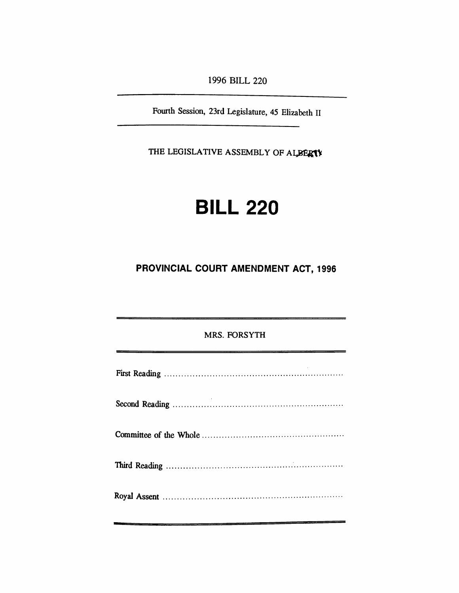*1996 BILL 220*

*Fourth Session, 23rd Legislature, 45 Elizabeth II*

*THE LEGISLATIVE ASSEMBLY OF ALBERTA*

# *BILL 220*

## *PROVINCIAL COURT AMENDMENT ACT, 1996*

| <b>MRS. FORSYTH</b>                                                                                                  |
|----------------------------------------------------------------------------------------------------------------------|
| <u>. An an an amhair an co-dheann ann an amhair an amhair an amhair an amhair an amhair an amhair an amhair an a</u> |
|                                                                                                                      |
|                                                                                                                      |
|                                                                                                                      |
|                                                                                                                      |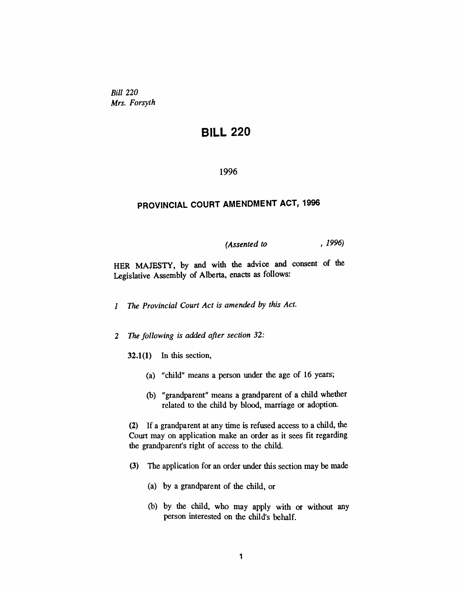*Bill 220 Mrs. Forsyth*

## *BILL 220*

#### *1996*

## *PROVINCIAL COURT AMENDMENT ACT, 1996*

### *(Assented to , 1996)*

*HER MAJESTY, by and with the advice and consent of the Legislative Assembly of Alberta, enacts as follows:*

- *<sup>1</sup> The Provincial Court Act is amended by this Act.*
- *2 The following is added after section 32:*
	- *32.1(1) In this section,*
		- *(a) "child" means a person under the age of 16 years;*
		- *(b) "grandparent" means a grandparent of a child whether related to the child by blood, marriage or adoption.*

*(2) If a grandparent at any time is refused access to a child, the Court may on application make an order as it sees fit regarding the grandparent's right of access to the child.*

- *(3) The application for an order under this section may be made*
	- *(a) by a grandparent of the child, or*
	- *(b) by the child, who may apply with or without any person interested on the child's behalf.*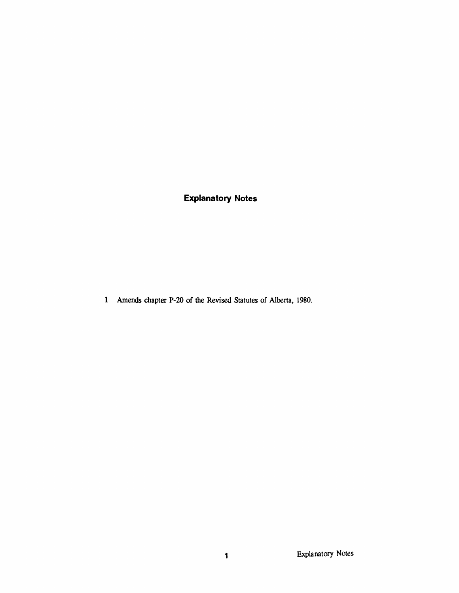*Explanatory Notes*

*Amends chapter P-20 of the Revised Statutes of Alberta, 1980.*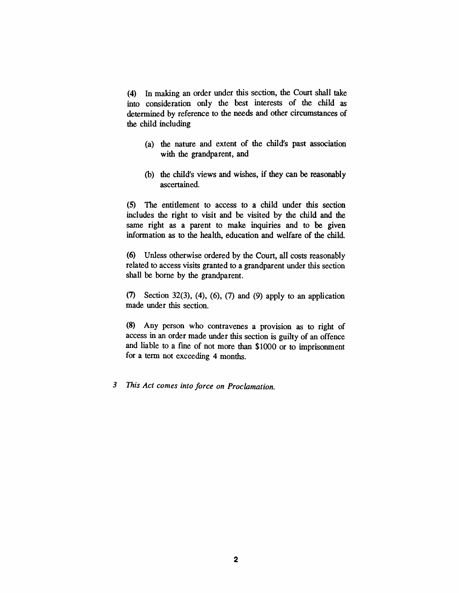*(4) In making an order under this section, the Court shall take into consideration only the best interests of the child as determined by reference to the needs and other circumstances of the child including*

- *(a) the nature and extent of the child's past association with the grandparent, and*
- *(b) the child's views and wishes, if they can be reasonably ascertained.*

*(5) The entitlement to access to a child under this section includes the right to visit and be visited by the child and the same right as a parent to make inquiries and to be given information as to the health, education and welfare of the child.*

*(6) Unless otherwise ordered by the Court, all costs reasonably related to access visits granted to a grandparent under this section shall be borne by the grandparent.*

*(7) Section 32(3), (4), (6), (7) and (9) apply to an application made under this section.*

*(8) Any person who contravenes a provision as to right of access in an order made under this section is guilty of an offence and liable to a fine of not more than \$1000 or to imprisonment for a term not exceeding 4 months.*

*3 This Act comes into force on Proclamation.*